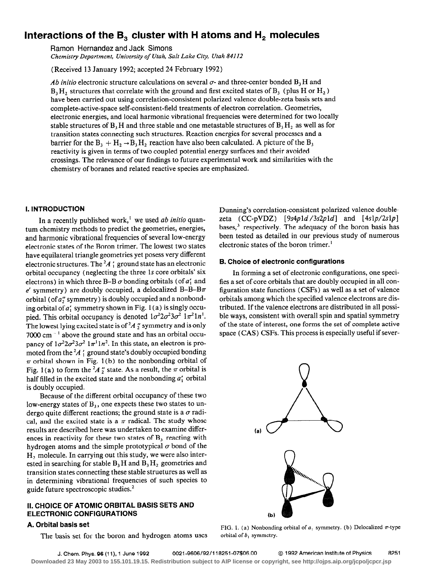# Interactions of the  $B_3$  cluster with H atoms and  $H_2$  molecules

Ramon Hernandez and Jack Simons

Chemistry Department, University of Utah, Salt Lake City, Utah 84112

(Received 13 January 1992; accepted 24 February 1992)

Ab initio electronic structure calculations on several  $\sigma$ - and three-center bonded  $B_3H$  and  $B_1$ , structures that correlate with the ground and first excited states of  $B_1$  (plus H or H<sub>2</sub>) have been carried out using correlation-consistent polarized valence double-zeta basis sets and complete-active-space self-consistent-field treatments of electron correlation. Geometries, electronic energies, and local harmonic vibrational frequencies were determined for two locally stable structures of  $B_3H$  and three stable and one metastable structures of  $B_3H_2$  as well as for transition states connecting such structures. Reaction energies for several processes and a barrier for the  $B_1 + H_2 \rightarrow B_1 H_2$  reaction have also been calculated. A picture of the  $B_1$ reactivity is given in terms of two coupled potential energy surfaces and their avoided crossings. The relevance of our findings to future experimental work and similarities with the chemistry of boranes and related reactive species are emphasized.

### I. INTRODUCTION

In a recently published work,<sup> $\mathbf{i}$ </sup> we used ab initio quantum chemistry methods to predict the geometries, energies, and harmonic vibrational frequencies of several low-energy electronic states of the Boron trimer. The lowest two states have equilateral triangle geometries yet posess very different electronic structures. The  ${}^{2}A$  ; ground state has an electronic orbital occupancy (neglecting the three 1s core orbitals' six electrons) in which three B-B  $\sigma$  bonding orbitals (of  $a'_1$  and e' symmetry) are doubly occupied, a delocalized B-B-B $\pi$ orbital (of  $a''_2$  symmetry) is doubly occupied and a nonbonding orbital of  $a'_1$  symmetry shown in Fig. 1(a) is singly occupied. This orbital occupancy is denoted  $1\sigma^2 2\sigma^2 3\sigma^2 1\pi^2 1\eta^1$ . The lowest lying excited state is of  ${}^2A$  " symmetry and is only 7000 cm<sup>-1</sup> above the ground state and has an orbital occupancy of  $1\sigma^2 2\sigma^2 3\sigma^2 1\pi^1 1n^2$ . In this state, an electron is promoted from the  ${}^2A$  ; ground state's doubly occupied bonding  $\pi$  orbital shown in Fig. 1(b) to the nonbonding orbital of Fig. 1(a) to form the  $^{2}A$  " state. As a result, the  $\pi$  orbital is half filled in the excited state and the nonbonding  $a'_1$  orbital is doubly occupied.

Because of the different orbital occupancy of these two low-energy states of  $B_3$ , one expects these two states to undergo quite different reactions; the ground state is a  $\sigma$  radical, and the excited state is a  $\pi$  radical. The study whose results are described here was undertaken to examine differences in reactivity for these two states of  $B<sub>1</sub>$  reacting with hydrogen atoms and the simple prototypical  $\sigma$  bond of the H, molecule. In carrying out this study, we were also interested in searching for stable  $B_1H$  and  $B_3H_2$  geometries and transition states connecting these stable structures as well as in determining vibrational frequencies of such species to guide future spectroscopic studies. $<sup>2</sup>$ </sup>

# II. CHOICE OF ATOMIC ORBITAL BASIS SETS AND ELECTRONIC CONFIGURATIONS

# A. Orbital basis set

The basis set for the boron and hydrogen atoms uses

Dunning's correlation-consistent polarized valence doublezeta  $(CC-pVDZ)$  [9s4p1d/3s2p1d] and [4s1p/2s1p] bases, $3$  respectively. The adequacy of the boron basis has been tested as detailed in our previous study of numerous electronic states of the boron trimer.'

# B. Choice of electronic configurations

In forming a set of electronic configurations, one specifies a set of core orbitals that are doubly occupied in all configuration state functions (CSFs) as well as a set of valence orbitals among which the specified valence electrons are distributed. If the valence electrons are distributed in all possible ways, consistent with overall spin and spatial symmetry of the state of interest, one forms the set of complete active space (CAS) CSFs. This process is especially useful if sever-



FIG. 1. (a) Nonbonding orbital of  $a_1$  symmetry. (b) Delocalized  $\pi$ -type orbital of  $b_1$  symmetry.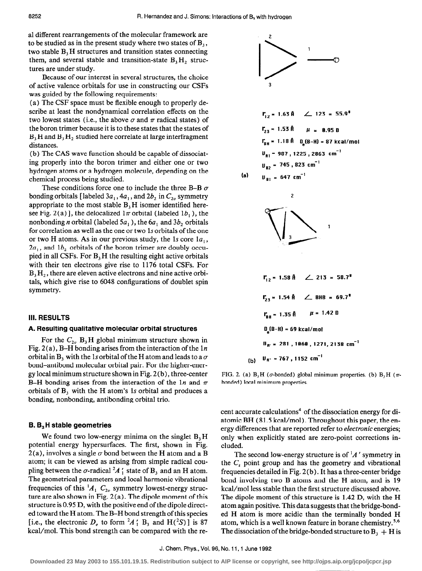2

al different rearrangements of the molecular framework are to be studied as in the present study where two states of  $B_3$ , two stable  $B_3$  H structures and transition states connecting them, and several stable and transition-state  $B_3H_2$  structures are under study.

Because of our interest in several structures, the choice of active valence orbitals for use in constructing our CSFs was guided by the following requirements:

(a) The CSF space must be flexible enough to properly describe at least the nondynamical correlation effects on the two lowest states (i.e., the above  $\sigma$  and  $\pi$  radical states) of the boron trimer because it is to these states that the states of  $B<sub>3</sub>H$  and  $B<sub>3</sub>H<sub>2</sub>$  studied here correlate at large interfragment distances.

(b) The CAS wave function should be capable of dissociating properly into the boron trimer and either one or two hydrogen atoms or a hydrogen molecule, depending on the chemical process being studied.

These conditions force one to include the three B-B  $\sigma$ bonding orbitals [labeled  $3a_1$ ,  $4a_1$ , and  $2b_2$  in  $C_{2v}$  symmetry appropriate to the most stable  $B<sub>3</sub>H$  isomer identified heresee Fig. 2(a)], the delocalized  $1\pi$  orbital (labeled  $1b_1$ ), the nonbonding *n* orbital (labeled  $5a_1$ ), the  $6a_1$  and  $3b_2$  orbitals for correlation as well as the one or two 1s orbitals of the one or two H atoms. As in our previous study, the 1s core  $1a_1$ ,  $2a_1$ , and  $1b_2$  orbitals of the boron trimer are doubly occupied in all CSFs. For  $B<sub>3</sub>H$  the resulting eight active orbitals with their ten electrons give rise to 1176 total CSFs. For  $B_3H_2$ , there are eleven active electrons and nine active orbitals, which give rise to 6048 configurations of doublet spin symmetry.

#### A. Resulting qualitative molecular orbital structures

For the  $C_{2v}$  B<sub>3</sub>H global minimum structure shown in Fig. 2(a), B-H bonding arises from the interaction of the  $1n$ orbital in B, with the 1s orbital of the H atom and leads to a  $\sigma$ bond-antibond molecular orbital pair. For the higher-energy local minimum structure shown in Fig. 2 (b), three-center B-H bonding arises from the interaction of the 1n and  $\pi$ orbitals of  $B_3$  with the H atom's 1s orbital and produces a bonding, nonbonding, antibonding orbital trio.

# $B_3$ H stable geometries

We found two low-energy minima on the singlet  $B<sub>3</sub>H$ potential energy hypersurfaces. The first, shown in Fig.  $2(a)$ , involves a single  $\sigma$  bond between the H atom and a B atom; it can be viewed as arising from simple radical coupling between the  $\sigma$ -radical  $^2A_1$  state of  $B_3$  and an H atom. The geometrical parameters and local harmonic vibrational frequencies of this  ${}^{1}A_1$  C<sub>2v</sub> symmetry lowest-energy structure are also shown in Fig.  $2(a)$ . The dipole moment of this structure is 0.95 D, with the positive end of the dipole directed toward the H atom. The B-H bond strength of this species [i.e., the electronic  $D_e$  to form  $^2A'$ ; B<sub>3</sub> and H( $^2S$ )] is 87 kcal/mol. This bond strength can be compared with the re-



| II. RESULTS                                                                                                                              | $r_{23} = 1.54 \text{ R}$                          | $E_{23} = 1.54 \text{ R}$ | $E_{24} = 69.7^{\circ}$ |
|------------------------------------------------------------------------------------------------------------------------------------------|----------------------------------------------------|---------------------------|-------------------------|
| A. Resulting qualitative molecular orbital structures                                                                                    | $v_{BH} = 1.35 \text{ A}$                          | $\mu = 1.42 \text{ B}$    |                         |
| For the $C_{2v}$ B <sub>3</sub> H global minimum structure shown in Fig. 2(a), B–H bonding arises from the interaction of the 1 <i>n</i> | $v_{Bv} = 281$ , 1060, 1271, 2138 cm <sup>-1</sup> |                           |                         |
| First, the first term is $V_{Bv} = 281$ and $V_{Bv} = 281$ , 1060, 1271, 2138 cm <sup>-1</sup>                                           |                                                    |                           |                         |
| First, the second term is $V_{Bv} = 281$ and $V_{Bv} = 281$ , 1060, 1271, 2138 cm <sup>-1</sup>                                          |                                                    |                           |                         |
| First, the second term is $V_{Bv} = 281$ and $V_{Bv} = 281$ , 1060, 1271, 2138 cm <sup>-1</sup>                                          |                                                    |                           |                         |

FIG. 2. (a)  $B_3H$  ( $\sigma$ -bonded) global minimum properties. (b)  $B_3H$  ( $\pi$ bonded) local minimum properties.

cent accurate calculations<sup>4</sup> of the dissociation energy for diatomic BH (81.5 kcal/mol). Throughout this paper, the energy differences that are reported refer to electronic energies; only when explicitly stated are zero-point corrections included.

The second low-energy structure is of  $^{1}A'$  symmetry in the  $C_s$  point group and has the geometry and vibrational frequencies detailed in Fig. 2(b) . It has a three-center bridge bond involving two B atoms and the H atom, and is 19 kcal/mol less stable than the first structure discussed above. The dipole moment of this structure is 1.42 D, with the H atom again positive. This data suggests that the bridge-bonded H atom is more acidic than the terminally bonded H atom, which is a well known feature in borane chemistry.<sup>5,6</sup> The dissociation of the bridge-bonded structure to  $B_3 + H$  is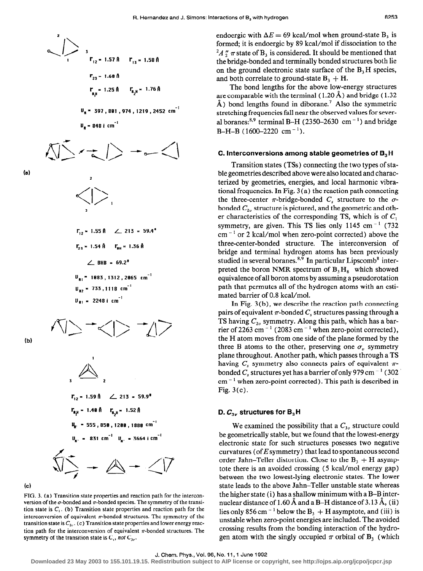'I\ --.HJ I r,2= 1.571 r,3= 1.58fl r 23 - 1.6lJA r - 1.251 I+- 1.76fl 'P u, = 397,881 ( 974 ) 1219,2452 cm-' It, = 848 i cm -\*

 $\frac{v_{\rm s} - 848 \, i \, \rm cm^{-1}}{2 \cdot 10^{-6} \, \rm s}$ 

2

 $\bigvee$ 

(a)

$$
\Gamma_{12} = 1.55 \text{ Å} \quad \angle 213 = 59.4^{\circ}
$$
\n
$$
\Gamma_{23} = 1.54 \text{ Å} \quad \Gamma_{BH} = 1.36 \text{ Å}
$$
\n
$$
\angle \text{BHB} = 69.2^{\circ}
$$
\n
$$
\text{U}_{\text{RI}} = 1883, 1312, 2065 \text{ cm}^{-1}
$$
\n
$$
\text{U}_{\text{B2}} = 733, 1118 \text{ cm}^{-1}
$$
\n
$$
\text{U}_{\text{B1}} = 2248 \text{ i cm}^{-1}
$$

 $\langle\!\langle\rangle\!+\!\langle\rangle\!+\!\langle\rangle\!\rangle$ 

(b)







FIG. 3. (a) Transition state properties and reaction path for the interconversion of the  $\sigma$ -bonded and  $\pi$ -bonded species. The symmetry of the transition state is  $C_1$ . (b) Transition state properties and reaction path for the interconversion of equivalent  $\pi$ -bonded structures. The symmetry of the transition state is  $C_{2n}$ . (c) Transition state properties and lower energy reaction path for the interconversion of equivalent  $\pi$ -bonded structures. The symmetry of the transition state is  $C_{y}$ , not  $C_{3v}$ .

endoergic with  $\Delta E = 69$  kcal/mol when ground-state B<sub>3</sub> is formed; it is endoergic by 89 kcal/mol if dissociation to the  $^{2}A''$   $\pi$  state of B<sub>3</sub> is considered. It should be mentioned that the bridge-bonded and terminally bonded structures both lie on the ground electronic state surface of the  $B<sub>3</sub>H$  species, and both correlate to ground-state  $B_3 + H$ .

The bond lengths for the above low-energy structures are comparable with the terminal  $(1.20 \text{ Å})$  and bridge  $(1.32 \text{ A})$  $\AA$ ) bond lengths found in diborane.<sup>7</sup> Also the symmetric stretching frequencies fall near the observed values for several boranes:<sup>8,9</sup> terminal B-H (2350-2630 cm<sup>-1</sup>) and bridge  $B-H-B (1600-2220 \text{ cm}^{-1}).$ 

#### C. Interconversions among stable geometries of  $B<sub>3</sub>H$

Transition states (TSs) connecting the two types of stable geometries described above were also located and characterized by geometries, energies, and local harmonic vibrational frequencies. In Fig. 3 (a) the reaction path connecting the three-center  $\pi$ -bridge-bonded  $C_s$  structure to the  $\sigma$ bonded  $C_{2v}$  structure is pictured, and the geometric and other characteristics of the corresponding TS, which is of  $C_1$ symmetry, are given. This TS lies only 1145 cm<sup> $-1$ </sup> (732)  $cm^{-1}$  or 2 kcal/mol when zero-point corrected) above the three-center-bonded structure. The interconversion of bridge and terminal hydrogen atoms has been previously studied in several boranes.<sup>8,9</sup> In particular Lipscomb<sup>8</sup> interpreted the boron NMR spectrum of  $B_1H_8^-$  which showed equivalence of all boron atoms by assuming a pseudorotation path that permutes all of the hydrogen atoms with an estimated barrier of 0.8 kcal/mol.

In Fig. 3 (b), we describe the reaction path connecting pairs of equivalent  $\pi$ -bonded  $C_s$  structures passing through a TS having  $C_{2v}$  symmetry. Along this path, which has a barrier of 2263 cm<sup> $-1$ </sup> (2083 cm $^{-1}$  when zero-point corrected), the H atom moves from one side of the plane formed by the three B atoms to the other, preserving one  $\sigma_{v}$  symmetry plane throughout. Another path, which passes through a TS having  $C_s$  symmetry also connects pairs of equivalent  $\pi$ bonded  $C_s$  structures yet has a barrier of only 979 cm<sup>-1</sup> (302)  $cm^{-1}$  when zero-point corrected). This path is described in Fig. 3(c).

#### D.  $C_{3v}$  structures for  $B_3H$

We examined the possibility that a  $C_{3n}$  structure could be geometrically stable, but we found that the lowest-energy electronic state for such structures posesses two negative curvatures (of  $E$  symmetry) that lead to spontaneous second order Jahn-Teller distortion. Close to the  $B_3 + H$  asymptote there is an avoided crossing (5 kcal/mol energy gap) between the two lowest-lying electronic states. The lower state leads to the above Jahn-Teller unstable state whereas the higher state (i) has a shallow minimum with a B-B internuclear distance of 1.60  $\AA$  and a B-H distance of 3.13  $\AA$ , (ii) lies only 856 cm<sup>-1</sup> below the  $B_1 + H$  asymptote, and (iii) is unstable when zero-point energies are included. The avoided crossing results from the bonding interaction of the hydrogen atom with the singly occupied  $\pi$  orbital of B, (which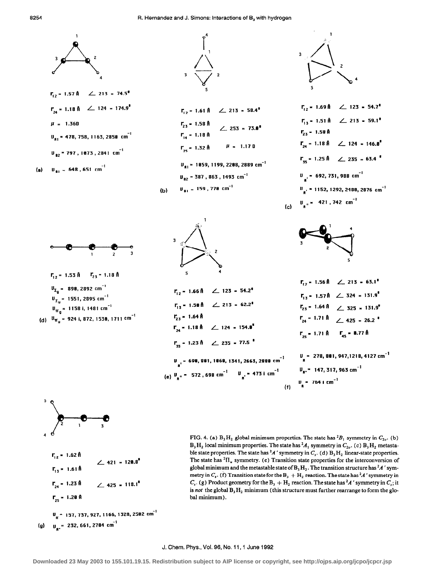



FIG. 4. (a)  $B_3H_2$  global minimum properties. The state has  ${}^2B_1$  symmetry in  $C_{2\nu}$ . (b)  $B_3H_2$  local minimum properties. The state has  ${}^2A_1$  symmetry in  $C_{2\nu}$ . (c)  $B_3H_2$  metastable state properties. The state has  ${}^2A$  ' symmetry in  $C_5$ . (d)  $B_3H_2$  linear-state properties. The state has  ${}^{2}$ H<sub>u</sub> symmetry. (e) Transition state properties for the interconversion of global minimum and the metastable state of  $B_3H_2$ . The transition structure has  ${}^2A$  ' symmetry in  $C_i$ . (f) Transition state for the  $B_3 + H_2$  reaction. The state has  ${}^2A$  ' symmetry in  $C<sub>s</sub>$ . (g) Product geometry for the B<sub>3</sub> + H<sub>2</sub> reaction. The state has <sup>2</sup>A' symmetry in C<sub>s</sub>; it is not the global  $B_3H_2$  minimum (this structure must further rearrange to form the global minimum).

#### J. Chem. Phys., Vol. 96, No. 11, 1 June 1992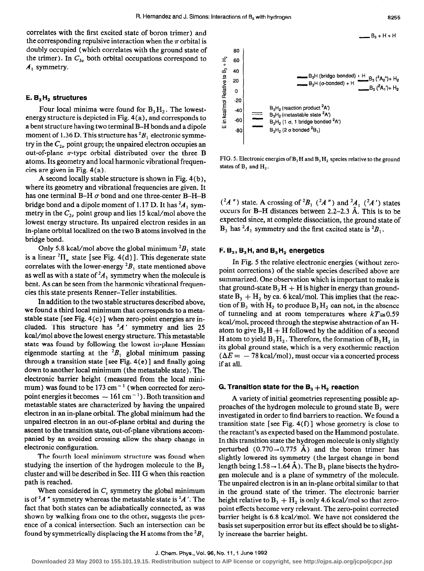correlates with the first excited state of boron trimer) and the corresponding repulsive interaction when the  $\pi$  orbital is doubly occupied (which correlates with the ground state of the trimer). In  $C_{3v}$  both orbital occupations correspond to  $A_1$  symmetry.

# E.  $B_3H_2$  structures

Four local minima were found for  $B_1H_2$ . The lowestenergy structure is depicted in Fig. 4(a), and corresponds to abent structure having two terminal B-H bonds and a dipole moment of 1.36 D. This structure has  ${}^2B_1$  electronic symmetry in the  $C_{2\nu}$  point group; the unpaired electron occupies an out-of-plane  $\pi$ -type orbital distributed over the three B atoms. Its geometry and local harmonic vibrational frequencies are given in Fig. 4(a).

A second locally stable structure is shown in Fig. 4(b), where its geometry and vibrational frequencies are given. It has one terminal B-H  $\sigma$  bond and one three-center B-H-B bridge bond and a dipole moment of 1.17 D. It has  ${}^{2}A_1$  symmetry in the  $C_{2v}$  point group and lies 15 kcal/mol above the lowest energy structure. Its unpaired electron resides in an in-plane orbital localized on the two B atoms involved in the bridge bond.

Only 5.8 kcal/mol above the global minimum  ${}^{2}B_1$  state is a linear  ${}^{2}$ II<sub>n</sub> state [see Fig. 4(d)]. This degenerate state correlates with the lower-energy  ${}^2B_1$  state mentioned above as well as with a state of  $^2A$ , symmetry when the molecule is bent. As can be seen from the harmonic vibrational frequencies this state presents Renner-Teller instabilities.

In addition to the two stable structures described above, we found a third local minimum that corresponds to a metastable state [see Fig. 4(c) ] when zero-point energies are included. This structure has  $A'$  symmetry and lies 25 kcal/moI above the lowest energy structure. This metastable state was found by following the lowest in-plane Hessian eigenmode starting at the  ${}^{2}B_{1}$  global minimum passing through a transition state [see Fig.  $4(e)$ ] and finally going down to another local minimum (the metastable state). The electronic barrier height (measured from the local minimum) was found to be 173 cm<sup> $-1$ </sup> (when corrected for zeropoint energies it becomes  $-161 \text{ cm}^{-1}$ ). Both transition and metastable states are characterized by having the unpaired electron in an in-plane orbital. The global minimum had the unpaired electron in an out-of-plane orbital and during the ascent to the transition state, out-of-plane vibrations accompanied by an avoided crossing allow the sharp change in electronic configuration.

The fourth local minimum structure was found when studying the insertion of the hydrogen molecule to the  $B_3$ cluster and will be described in Sec. III G when this reaction path is reached.

When considered in  $C<sub>s</sub>$  symmetry the global minimum is of  ${}^2A$  " symmetry whereas the metastable state is  ${}^2A$ . The fact that both states can be adiabatically connected, as was shown by walking from one to the other, suggests the presence of a conical intersection. Such an intersection can be found by symmetrically displacing the H atoms from the  ${}^2B_1$ 

 $B_3 + H + H$ 80 60 + 40 Relative to<br>C<br>C<br>C<br>C<br>C<br>C 0 a -20  $\overline{3}$   $\overline{3}$   $\overline{40}$   $\overline{2}$ - .c -60  $\begin{vmatrix} 1 & 1 \ 1 & 0 \end{vmatrix}$  $\longrightarrow$  B<sub>3</sub>H (bridge-bonded) + H<sub>2</sub>, (<sup>2</sup>A<sub>2</sub>")+ H<sub>2</sub>  $B_3H$  ( $\sigma$ -bonded) + H  $-B_2(^2A_1)+H_2$  $B_3H_2$  (reaction product  ${}^2A'$ )  $B_3H_2$  (metastable state  ${}^2A'$ )  $B_3H_2$  (1  $\sigma$ , 1 bridge bonded  ${}^2A$ )  $B_2H_2$  (2  $\sigma$  bonded  ${}^2B_1$ )

FIG. 5. Electronic energies of  $B_3H$  and  $B_3H_2$  species relative to the ground states of  $B_3$  and  $H_2$ .

 $({}^2A'')$  state. A crossing of  ${}^2B_1$   $({}^2A'')$  and  ${}^2A_1$   $({}^2A')$  states occurs for B-H distances between 2.2-2.3 A. This is to be expected since, at complete dissociation, the ground state of  $B_3$  has  ${}^2A_1$  symmetry and the first excited state is  ${}^2B_1$ .

# $F. B_3$ ,  $B_3$  H, and  $B_3$  H<sub>2</sub> energetics

In Fig. 5 the relative electronic energies (without zeropoint corrections) of the stable species described above are summarized. One observation which is important to make is that ground-state  $B_3H + H$  is higher in energy than groundstate  $B_1 + H_2$  by ca. 6 kcal/mol. This implies that the reaction of  $B_3$  with  $H_2$  to produce  $B_3H_2$  can not, in the absence of tunneling and at room temperatures where  $kT \approx 0.59$ kcal/mol, proceed through the stepwise abstraction of an Hatom to give  $B_3H + H$  followed by the addition of a second H atom to yield  $B_3H_2$ . Therefore, the formation of  $B_3H_2$  in its global ground state, which is a very exothermic reaction  $(\Delta E = -78 \text{ kcal/mol})$ , must occur via a concerted process if at all.

### G. Transition state for the  $B_3 + H_7$  reaction

A variety of initial geometries representing possible approaches of the hydrogen molecule to ground state B, were investigated in order to find barriers to reaction. We found a transition state [see Fig.  $4(f)$ ] whose geometry is close to the reactant's as expected based on the Hammond postulate. In this transition state the hydrogen molecule is only slightly perturbed  $(0.770 \rightarrow 0.775 \text{ Å})$  and the boron trimer has slightly lowered its symmetry (the largest change in bond length being  $1.58 \rightarrow 1.64$  Å). The B<sub>3</sub> plane bisects the hydrogen molecule and is a plane of symmetry of the molecule. The unpaired electron is in an in-plane orbital similar to that in the ground state of the trimer. The electronic barrier height relative to  $B_1 + H_2$  is only 4.6 kcal/mol so that zeropoint effects become very relevant. The zero-point corrected barrier height is 6.8 kcal/mol. We have not considered the basis set superposition error but its effect should be to slightly increase the barrier height.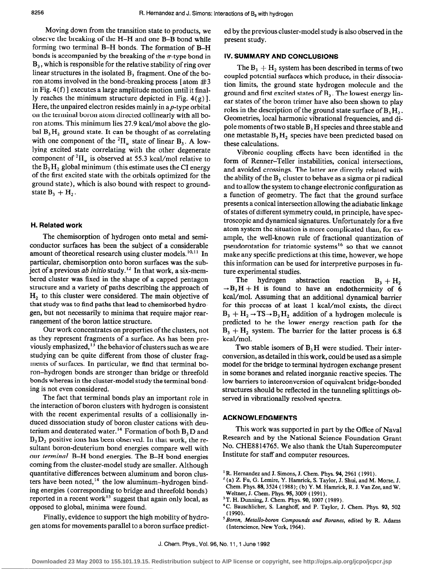Moving down from the transition state to products, we observe the breaking of the H-H and one B-B bond while forming two terminal B-H bonds. The formation of B-H bonds is accompanied by the breaking of the  $\pi$ -type bond in  $B_3$ , which is responsible for the relative stability of ring over linear structures in the isolated B, fragment. One of the boron atoms involved in the bond-breaking process [atom  $\#3$ in Fig. 4(f) ] executes a large amplitude motion until it finally reaches the minimum structure depicted in Fig.  $4(g)$ ]. Here, the unpaired electron resides mainly in a  $p$ -type orbital on the terminal boron atom directed collinearly with all boron atoms. This minimum lies 27.9 kcal/mol above the global  $B_3H_2$  ground state. It can be thought of as correlating with one component of the <sup>2</sup> $\Pi_u$  state of linear B<sub>3</sub>. A lowlying excited state correlating with the other degenerate component of  ${}^{2}$ H<sub>u</sub> is observed at 55.3 kcal/mol relative to the  $B_3H_2$  global minimum (this estimate uses the CI energy of the first excited state with the orbitals optimized for the ground state), which is also bound with respect to groundstate  $B_1 + H_2$ .

# H. Related work

The chemisorption of hydrogen onto metal and semiconductor surfaces has been the subject of a considerable amount of theoretical research using cluster models.<sup>10,11</sup> In particular, chemisorption onto boron surfaces was the subject of a previous ab initio study.<sup>12</sup> In that work, a six-membered cluster was fixed in the shape of a capped pentagon structure and a variety of paths describing the approach of  $H<sub>2</sub>$  to this cluster were considered. The main objective of that study was to find paths that lead to chemisorbed hydrogen, but not necessarily to minima that require major rearrangement of the boron lattice structure.

Our work concentrates on properties of the clusters, not as they represent fragments of a surface. As has been previously emphasized,  $^{13}$  the behavior of clusters such as we are studying can be quite different from those of cluster fragments of surfaces. In particular, we find that terminal boron-hydrogen bonds are stronger than bridge or threefold bonds whereas in the cluster-model study the terminal bonding is not even considered.

The fact that terminal bonds play an important role in the interaction of boron clusters with hydrogen is consistent with the recent experimental results of a collisionally induced dissociation study of boron cluster cations with deuterium and deuterated water.<sup>14</sup> Formation of both  $B<sub>3</sub>D$  and  $B_3D_2$  positive ions has been observed. In that work, the resultant boron-deuterium bond energies compare well with our terminal B-H bond energies. The B-H bond energies coming from the cluster-model study are smaller. Although quantitative differences between aluminum and boron clusters have been noted,<sup>14</sup> the low aluminum-hydrogen binding energies (corresponding to bridge and threefold bonds) reported in a recent work<sup>15</sup> suggest that again only local, as opposed to global, minima were found.

Finally, evidence to support the high mobility of hydrogen atoms for movements parallel to a boron surface predicted by the previous cluster-model study is also observed in the present study.

# IV. SUMMARY AND CONCLUSIONS

The  $B_3 + H_2$  system has been described in terms of two coupled potential surfaces which produce, in their dissociation limits, the ground state hydrogen molecule and the ground and first excited states of  $B<sub>3</sub>$ . The lowest energy linear states of the boron trimer have also been shown to play roles in the description of the ground state surface of B, H,. Geometries, local harmonic vibrational frequencies, and dipole moments of two stable  $B<sub>3</sub>H$  species and three stable and one metastable  $B_3H_2$  species have been predicted based on these calculations.

Vibronic coupling effects have been identified in the form of Renner-Teller instabilities, conical intersections, and avoided crossings. The latter are directly related with the ability of the  $B<sub>3</sub>$  cluster to behave as a sigma or pi radical and to allow the system to change electronic configuration as a function of geometry. The fact that the ground surface presents a conical intersection allowing the adiabatic linkage of states of different symmetry could, in principle, have spectroscopic and dynamical signatures. Unfortunately for a five atom system the situation is more complicated than, for example, the well-known rule of fractional quantization of pseudorotation for triatomic systems<sup>16</sup> so that we cannot make any specific predictions at this time, however, we hope this information can be used for interpretive purposes in future experimental studies.

The hydrogen abstraction reaction  $B_3 + H_2$  $\rightarrow$ B<sub>3</sub>H + H is found to have an endothermicity of 6 kcal/mol. Assuming that an additional dynamical barrier for this process of at least 1 kcal/mol exists, the direct  $B_3 + H_2 \rightarrow TS \rightarrow B_3H_2$  addition of a hydrogen molecule is predicted to be the lower energy reaction path for the  $B_3 + H_2$  system. The barrier for the latter process is 6.8 kcal/mol.

Two stable isomers of  $B<sub>3</sub>H$  were studied. Their interconversion, as detailed in this work, could be used as a simple model for the bridge to terminal hydrogen exchange present in some boranes and related inorganic reactive species. The low barriers to interconversion of equivalent bridge-bonded structures should be reflected in the tunneling splittings observed in vibrationally resolved spectra.

## ACKNOWLEDGMENTS

This work was supported in part by the Office of Naval Research and by the National Science Foundation Grant No. CHE8814765. We also thank the Utah Supercomputer Institute for staff and computer resources.

 $<sup>1</sup>R$ . Hernandez and J. Simons, J. Chem. Phys. 94, 2961 (1991).</sup>

 $^2$  (a) Z. Fu, G. Lemire, Y. Hamrick, S. Taylor, J. Shui, and M. Morse, J. Chem. Phys. 88,3524 (1988); (b) Y. M. Hamrick, R. J. Van Zee, and W. Weltner, J. Chem. Phys. 95,3009 ( 1991).

<sup>3</sup>T. H. Dunning, J. Chem. Phys. 90, 1007 (1989).

<sup>4</sup>C. Bauschlicher, S. Langhoff, and P. Taylor, J. Chem. Phys. 93, 502 (1990).

<sup>&</sup>lt;sup>5</sup> Boron, Metallo-boron Compounds and Boranes, edited by R. Adams (Interscience, New York, 1964).